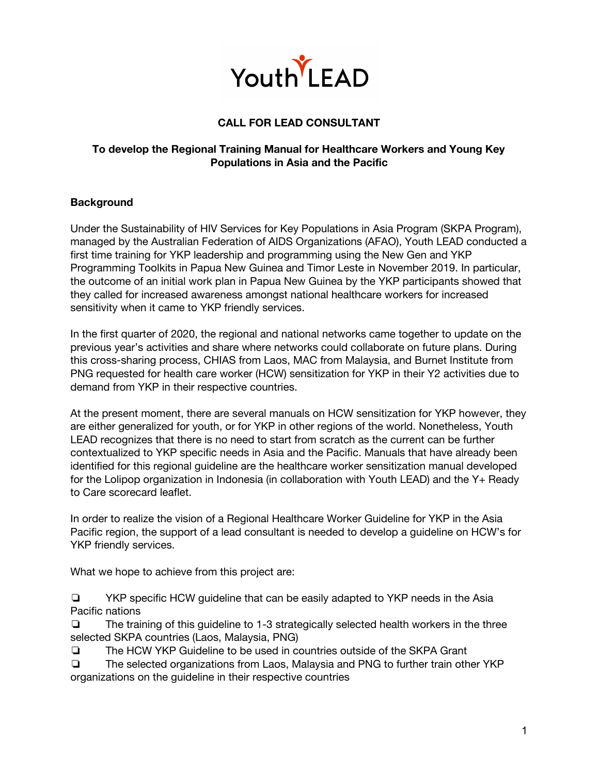

# **CALL FOR LEAD CONSULTANT**

### **To develop the Regional Training Manual for Healthcare Workers and Young Key Populations in Asia and the Pacific**

### **Background**

Under the Sustainability of HIV Services for Key Populations in Asia Program (SKPA Program), managed by the Australian Federation of AIDS Organizations (AFAO), Youth LEAD conducted a first time training for YKP leadership and programming using the New Gen and YKP Programming Toolkits in Papua New Guinea and Timor Leste in November 2019. In particular, the outcome of an initial work plan in Papua New Guinea by the YKP participants showed that they called for increased awareness amongst national healthcare workers for increased sensitivity when it came to YKP friendly services.

In the first quarter of 2020, the regional and national networks came together to update on the previous year's activities and share where networks could collaborate on future plans. During this cross-sharing process, CHIAS from Laos, MAC from Malaysia, and Burnet Institute from PNG requested for health care worker (HCW) sensitization for YKP in their Y2 activities due to demand from YKP in their respective countries.

At the present moment, there are several manuals on HCW sensitization for YKP however, they are either generalized for youth, or for YKP in other regions of the world. Nonetheless, Youth LEAD recognizes that there is no need to start from scratch as the current can be further contextualized to YKP specific needs in Asia and the Pacific. Manuals that have already been identified for this regional guideline are the healthcare worker sensitization manual developed for the Lolipop organization in Indonesia (in collaboration with Youth LEAD) and the Y+ Ready to Care scorecard leaflet.

In order to realize the vision of a Regional Healthcare Worker Guideline for YKP in the Asia Pacific region, the support of a lead consultant is needed to develop a guideline on HCW's for YKP friendly services.

What we hope to achieve from this project are:

❏ YKP specific HCW guideline that can be easily adapted to YKP needs in the Asia Pacific nations

❏ The training of this guideline to 1-3 strategically selected health workers in the three selected SKPA countries (Laos, Malaysia, PNG)

❏ The HCW YKP Guideline to be used in countries outside of the SKPA Grant

❏ The selected organizations from Laos, Malaysia and PNG to further train other YKP organizations on the guideline in their respective countries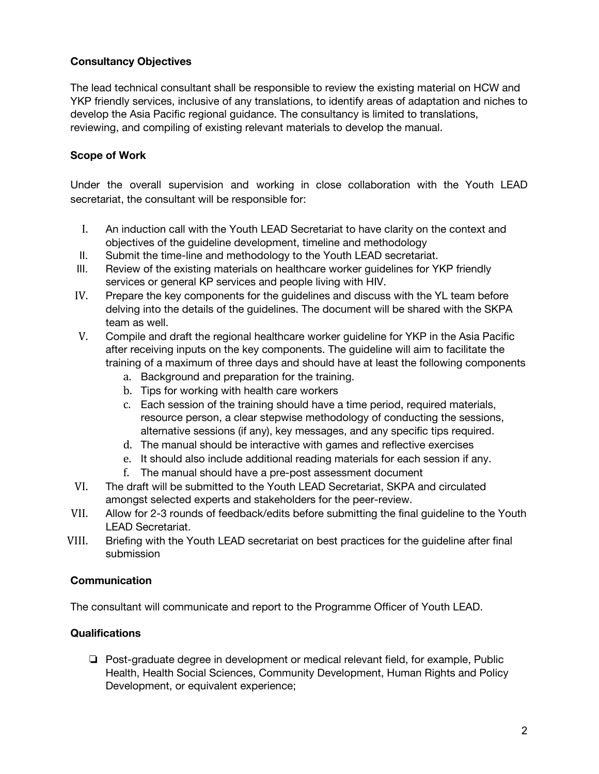## **Consultancy Objectives**

The lead technical consultant shall be responsible to review the existing material on HCW and YKP friendly services, inclusive of any translations, to identify areas of adaptation and niches to develop the Asia Pacific regional guidance. The consultancy is limited to translations, reviewing, and compiling of existing relevant materials to develop the manual.

# **Scope of Work**

Under the overall supervision and working in close collaboration with the Youth LEAD secretariat, the consultant will be responsible for:

- I. An induction call with the Youth LEAD Secretariat to have clarity on the context and objectives of the guideline development, timeline and methodology
- II. Submit the time-line and methodology to the Youth LEAD secretariat.
- III. Review of the existing materials on healthcare worker guidelines for YKP friendly services or general KP services and people living with HIV.
- IV. Prepare the key components for the guidelines and discuss with the YL team before delving into the details of the guidelines. The document will be shared with the SKPA team as well.
- V. Compile and draft the regional healthcare worker guideline for YKP in the Asia Pacific after receiving inputs on the key components. The guideline will aim to facilitate the training of a maximum of three days and should have at least the following components
	- a. Background and preparation for the training.
	- b. Tips for working with health care workers
	- c. Each session of the training should have a time period, required materials, resource person, a clear stepwise methodology of conducting the sessions, alternative sessions (if any), key messages, and any specific tips required.
	- d. The manual should be interactive with games and reflective exercises
	- e. It should also include additional reading materials for each session if any.
	- f. The manual should have a pre-post assessment document
- VI. The draft will be submitted to the Youth LEAD Secretariat, SKPA and circulated amongst selected experts and stakeholders for the peer-review.
- VII. Allow for 2-3 rounds of feedback/edits before submitting the final guideline to the Youth LEAD Secretariat.
- VIII. Briefing with the Youth LEAD secretariat on best practices for the guideline after final submission

### **Communication**

The consultant will communicate and report to the Programme Officer of Youth LEAD.

### **Qualifications**

❏ Post-graduate degree in development or medical relevant field, for example, Public Health, Health Social Sciences, Community Development, Human Rights and Policy Development, or equivalent experience;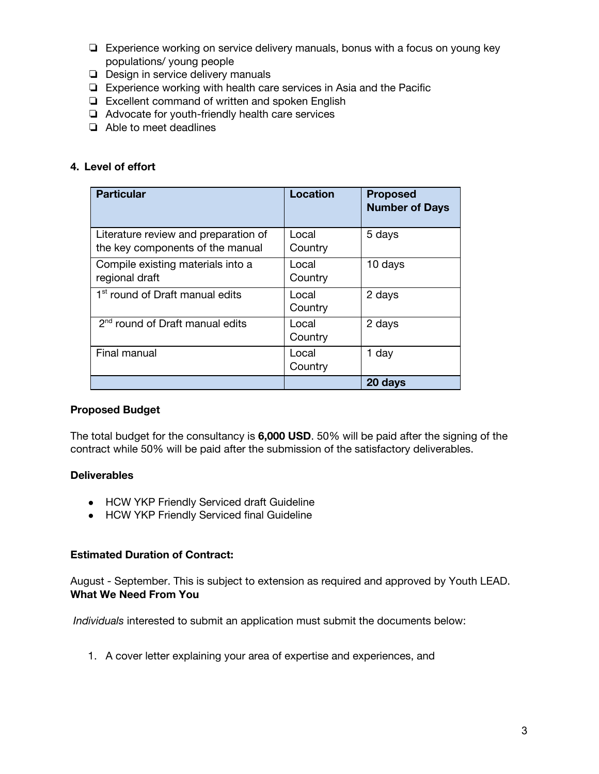- ❏ Experience working on service delivery manuals, bonus with a focus on young key populations/ young people
- ❏ Design in service delivery manuals
- ❏ Experience working with health care services in Asia and the Pacific
- ❏ Excellent command of written and spoken English
- ❏ Advocate for youth-friendly health care services
- ❏ Able to meet deadlines

### **4. Level of effort**

| <b>Particular</b>                                                        | Location         | <b>Proposed</b><br><b>Number of Days</b> |
|--------------------------------------------------------------------------|------------------|------------------------------------------|
| Literature review and preparation of<br>the key components of the manual | Local<br>Country | 5 days                                   |
| Compile existing materials into a<br>regional draft                      | Local<br>Country | 10 days                                  |
| 1 <sup>st</sup> round of Draft manual edits                              | Local<br>Country | 2 days                                   |
| 2 <sup>nd</sup> round of Draft manual edits                              | Local<br>Country | 2 days                                   |
| Final manual                                                             | Local<br>Country | 1 day                                    |
|                                                                          |                  | 20 days                                  |

#### **Proposed Budget**

The total budget for the consultancy is **6,000 USD**. 50% will be paid after the signing of the contract while 50% will be paid after the submission of the satisfactory deliverables.

#### **Deliverables**

- HCW YKP Friendly Serviced draft Guideline
- HCW YKP Friendly Serviced final Guideline

#### **Estimated Duration of Contract:**

August - September. This is subject to extension as required and approved by Youth LEAD. **What We Need From You**

*Individuals* interested to submit an application must submit the documents below:

1. A cover letter explaining your area of expertise and experiences, and